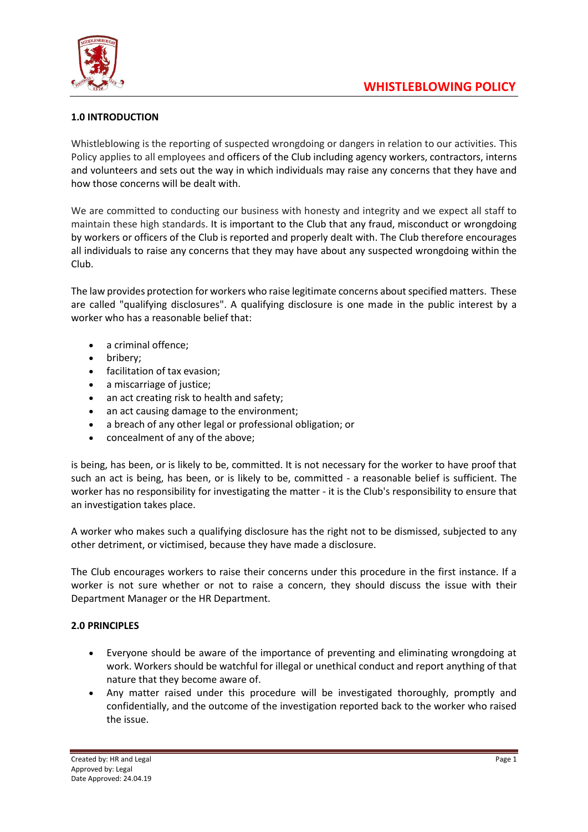

## **1.0 INTRODUCTION**

Whistleblowing is the reporting of suspected wrongdoing or dangers in relation to our activities. This Policy applies to all employees and officers of the Club including agency workers, contractors, interns and volunteers and sets out the way in which individuals may raise any concerns that they have and how those concerns will be dealt with.

We are committed to conducting our business with honesty and integrity and we expect all staff to maintain these high standards. It is important to the Club that any fraud, misconduct or wrongdoing by workers or officers of the Club is reported and properly dealt with. The Club therefore encourages all individuals to raise any concerns that they may have about any suspected wrongdoing within the Club.

The law provides protection for workers who raise legitimate concerns about specified matters. These are called "qualifying disclosures". A qualifying disclosure is one made in the public interest by a worker who has a reasonable belief that:

- a criminal offence;
- bribery;
- facilitation of tax evasion;
- a miscarriage of justice;
- an act creating risk to health and safety;
- an act causing damage to the environment;
- a breach of any other legal or professional obligation; or
- concealment of any of the above;

is being, has been, or is likely to be, committed. It is not necessary for the worker to have proof that such an act is being, has been, or is likely to be, committed - a reasonable belief is sufficient. The worker has no responsibility for investigating the matter - it is the Club's responsibility to ensure that an investigation takes place.

A worker who makes such a qualifying disclosure has the right not to be dismissed, subjected to any other detriment, or victimised, because they have made a disclosure.

The Club encourages workers to raise their concerns under this procedure in the first instance. If a worker is not sure whether or not to raise a concern, they should discuss the issue with their Department Manager or the HR Department.

## **2.0 PRINCIPLES**

- Everyone should be aware of the importance of preventing and eliminating wrongdoing at work. Workers should be watchful for illegal or unethical conduct and report anything of that nature that they become aware of.
- Any matter raised under this procedure will be investigated thoroughly, promptly and confidentially, and the outcome of the investigation reported back to the worker who raised the issue.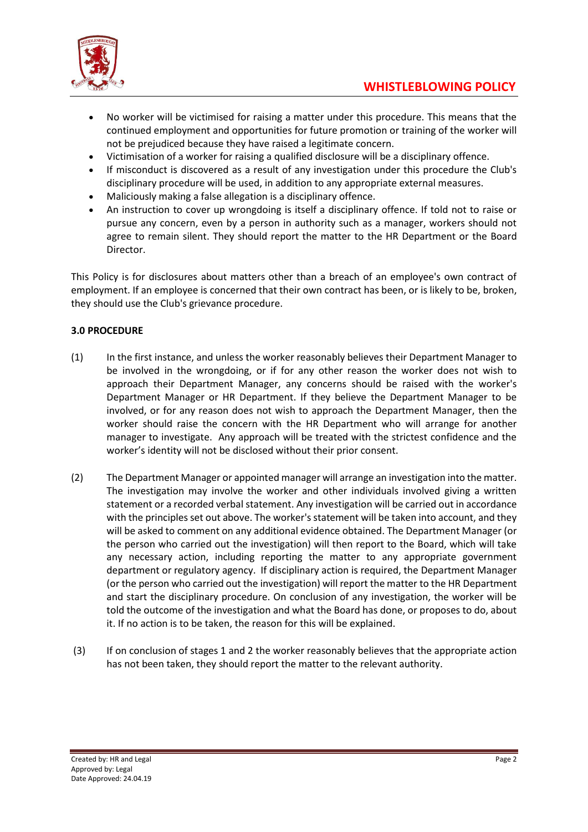

- No worker will be victimised for raising a matter under this procedure. This means that the continued employment and opportunities for future promotion or training of the worker will not be prejudiced because they have raised a legitimate concern.
- Victimisation of a worker for raising a qualified disclosure will be a disciplinary offence.
- If misconduct is discovered as a result of any investigation under this procedure the Club's disciplinary procedure will be used, in addition to any appropriate external measures.
- Maliciously making a false allegation is a disciplinary offence.
- An instruction to cover up wrongdoing is itself a disciplinary offence. If told not to raise or pursue any concern, even by a person in authority such as a manager, workers should not agree to remain silent. They should report the matter to the HR Department or the Board Director.

This Policy is for disclosures about matters other than a breach of an employee's own contract of employment. If an employee is concerned that their own contract has been, or is likely to be, broken, they should use the Club's grievance procedure.

## **3.0 PROCEDURE**

- (1) In the first instance, and unless the worker reasonably believes their Department Manager to be involved in the wrongdoing, or if for any other reason the worker does not wish to approach their Department Manager, any concerns should be raised with the worker's Department Manager or HR Department. If they believe the Department Manager to be involved, or for any reason does not wish to approach the Department Manager, then the worker should raise the concern with the HR Department who will arrange for another manager to investigate. Any approach will be treated with the strictest confidence and the worker's identity will not be disclosed without their prior consent.
- (2) The Department Manager or appointed manager will arrange an investigation into the matter. The investigation may involve the worker and other individuals involved giving a written statement or a recorded verbal statement. Any investigation will be carried out in accordance with the principles set out above. The worker's statement will be taken into account, and they will be asked to comment on any additional evidence obtained. The Department Manager (or the person who carried out the investigation) will then report to the Board, which will take any necessary action, including reporting the matter to any appropriate government department or regulatory agency. If disciplinary action is required, the Department Manager (or the person who carried out the investigation) will report the matter to the HR Department and start the disciplinary procedure. On conclusion of any investigation, the worker will be told the outcome of the investigation and what the Board has done, or proposes to do, about it. If no action is to be taken, the reason for this will be explained.
- (3) If on conclusion of stages 1 and 2 the worker reasonably believes that the appropriate action has not been taken, they should report the matter to the relevant authority.